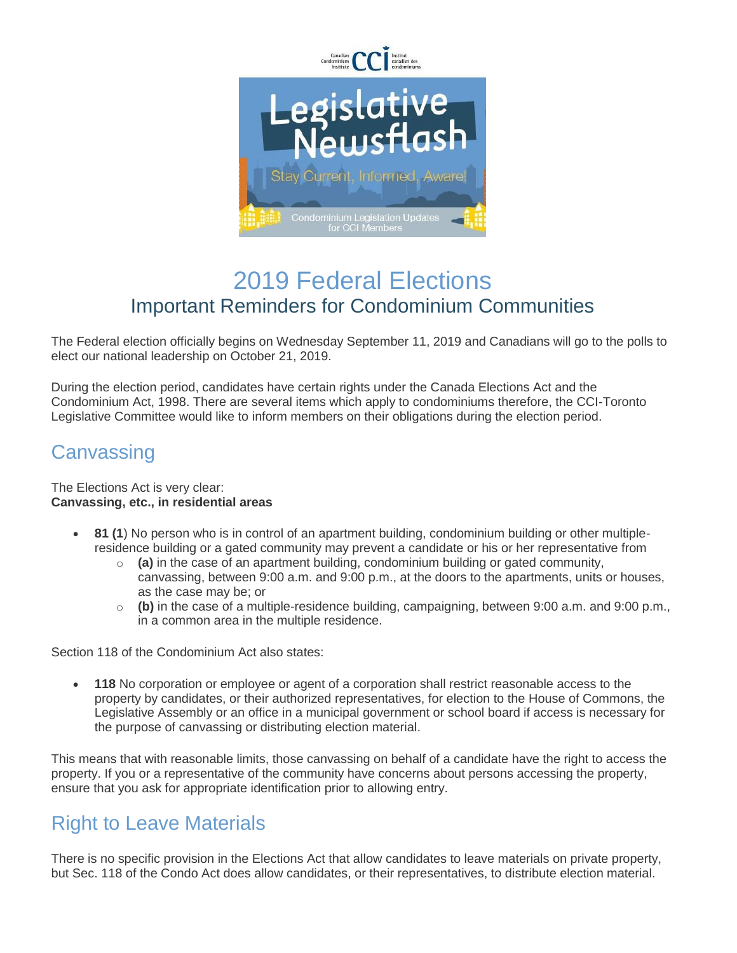

# 2019 Federal Elections Important Reminders for Condominium Communities

The Federal election officially begins on Wednesday September 11, 2019 and Canadians will go to the polls to elect our national leadership on October 21, 2019.

During the election period, candidates have certain rights under the Canada Elections Act and the Condominium Act, 1998. There are several items which apply to condominiums therefore, the CCI-Toronto Legislative Committee would like to inform members on their obligations during the election period.

#### **Canvassing**

#### The Elections Act is very clear: **Canvassing, etc., in residential areas**

- **81 (1**) No person who is in control of an apartment building, condominium building or other multipleresidence building or a gated community may prevent a candidate or his or her representative from
	- o **(a)** in the case of an apartment building, condominium building or gated community, canvassing, between 9:00 a.m. and 9:00 p.m., at the doors to the apartments, units or houses, as the case may be; or
	- o **(b)** in the case of a multiple-residence building, campaigning, between 9:00 a.m. and 9:00 p.m., in a common area in the multiple residence.

Section 118 of the Condominium Act also states:

 **118** No corporation or employee or agent of a corporation shall restrict reasonable access to the property by candidates, or their authorized representatives, for election to the House of Commons, the Legislative Assembly or an office in a municipal government or school board if access is necessary for the purpose of canvassing or distributing election material.

This means that with reasonable limits, those canvassing on behalf of a candidate have the right to access the property. If you or a representative of the community have concerns about persons accessing the property, ensure that you ask for appropriate identification prior to allowing entry.

## Right to Leave Materials

There is no specific provision in the Elections Act that allow candidates to leave materials on private property, but Sec. 118 of the Condo Act does allow candidates, or their representatives, to distribute election material.